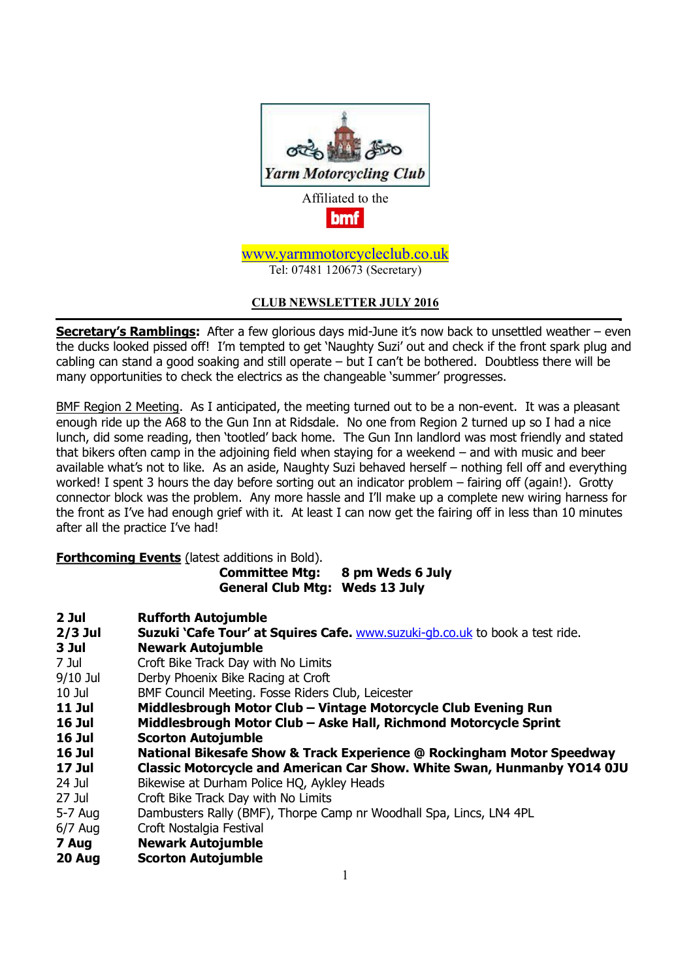

# CLUB NEWSLETTER JULY 2016

Secretary's Ramblings: After a few glorious days mid-June it's now back to unsettled weather – even the ducks looked pissed off! I'm tempted to get 'Naughty Suzi' out and check if the front spark plug and cabling can stand a good soaking and still operate – but I can't be bothered. Doubtless there will be many opportunities to check the electrics as the changeable 'summer' progresses.

BMF Region 2 Meeting. As I anticipated, the meeting turned out to be a non-event. It was a pleasant enough ride up the A68 to the Gun Inn at Ridsdale. No one from Region 2 turned up so I had a nice lunch, did some reading, then 'tootled' back home. The Gun Inn landlord was most friendly and stated that bikers often camp in the adjoining field when staying for a weekend – and with music and beer available what's not to like. As an aside, Naughty Suzi behaved herself – nothing fell off and everything worked! I spent 3 hours the day before sorting out an indicator problem – fairing off (again!). Grotty connector block was the problem. Any more hassle and I'll make up a complete new wiring harness for the front as I've had enough grief with it. At least I can now get the fairing off in less than 10 minutes after all the practice I've had!

Forthcoming Events (latest additions in Bold).

## Committee Mtg: 8 pm Weds 6 July General Club Mtg: Weds 13 July

| 2 Jul         | <b>Rufforth Autojumble</b>                                                     |  |  |
|---------------|--------------------------------------------------------------------------------|--|--|
| $2/3$ Jul     | Suzuki 'Cafe Tour' at Squires Cafe. www.suzuki-gb.co.uk to book a test ride.   |  |  |
| 3 Jul         | <b>Newark Autojumble</b>                                                       |  |  |
| 7 Jul         | Croft Bike Track Day with No Limits                                            |  |  |
| $9/10$ Jul    | Derby Phoenix Bike Racing at Croft                                             |  |  |
| 10 Jul        | BMF Council Meeting. Fosse Riders Club, Leicester                              |  |  |
| <b>11 Jul</b> | Middlesbrough Motor Club - Vintage Motorcycle Club Evening Run                 |  |  |
| 16 Jul        | Middlesbrough Motor Club - Aske Hall, Richmond Motorcycle Sprint               |  |  |
| <b>16 Jul</b> | <b>Scorton Autojumble</b>                                                      |  |  |
| 16 Jul        | National Bikesafe Show & Track Experience @ Rockingham Motor Speedway          |  |  |
| <b>17 Jul</b> | <b>Classic Motorcycle and American Car Show. White Swan, Hunmanby YO14 0JU</b> |  |  |
| 24 Jul        | Bikewise at Durham Police HQ, Aykley Heads                                     |  |  |
| $27$ Jul      | Croft Bike Track Day with No Limits                                            |  |  |
| $5-7$ Aug     | Dambusters Rally (BMF), Thorpe Camp nr Woodhall Spa, Lincs, LN4 4PL            |  |  |
| $6/7$ Aug     | Croft Nostalgia Festival                                                       |  |  |
| 7 Aug         | <b>Newark Autojumble</b>                                                       |  |  |
| 20 Aug        | <b>Scorton Autojumble</b>                                                      |  |  |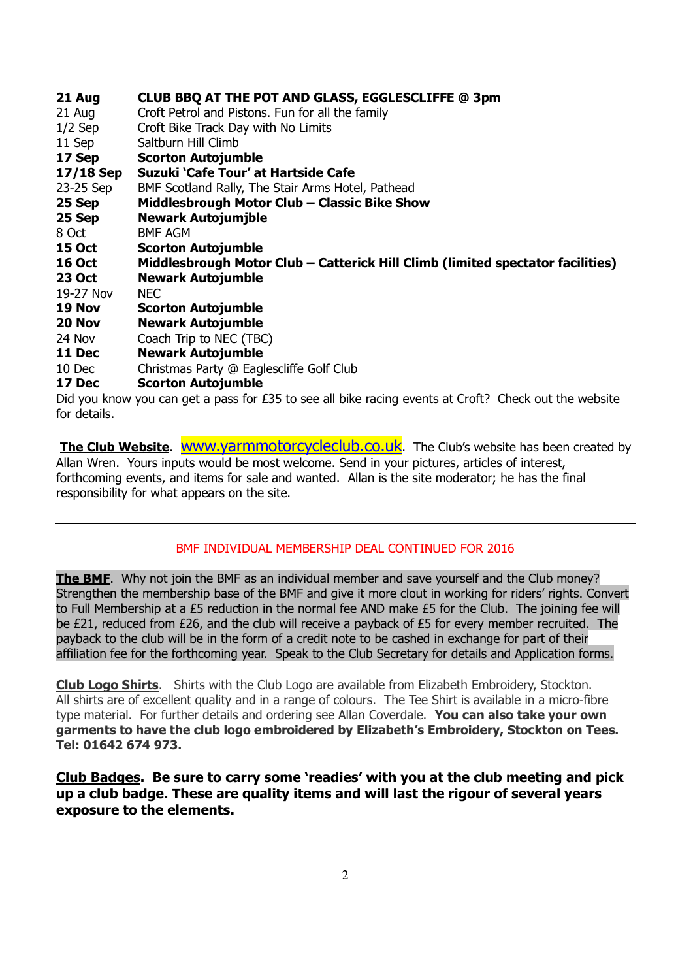| 21 Aug        | CLUB BBQ AT THE POT AND GLASS, EGGLESCLIFFE @ 3pm                                                       |
|---------------|---------------------------------------------------------------------------------------------------------|
| 21 Aug        | Croft Petrol and Pistons. Fun for all the family                                                        |
| $1/2$ Sep     | Croft Bike Track Day with No Limits                                                                     |
| 11 Sep        | Saltburn Hill Climb                                                                                     |
| 17 Sep        | <b>Scorton Autojumble</b>                                                                               |
| 17/18 Sep     | Suzuki 'Cafe Tour' at Hartside Cafe                                                                     |
| 23-25 Sep     | BMF Scotland Rally, The Stair Arms Hotel, Pathead                                                       |
| 25 Sep        | Middlesbrough Motor Club - Classic Bike Show                                                            |
| 25 Sep        | <b>Newark Autojumjble</b>                                                                               |
| 8 Oct         | <b>BMF AGM</b>                                                                                          |
| <b>15 Oct</b> | <b>Scorton Autojumble</b>                                                                               |
| <b>16 Oct</b> | Middlesbrough Motor Club – Catterick Hill Climb (limited spectator facilities)                          |
| <b>23 Oct</b> | <b>Newark Autojumble</b>                                                                                |
| 19-27 Nov     | <b>NEC</b>                                                                                              |
| 19 Nov        | <b>Scorton Autojumble</b>                                                                               |
| 20 Nov        | <b>Newark Autojumble</b>                                                                                |
| 24 Nov        | Coach Trip to NEC (TBC)                                                                                 |
| 11 Dec        | <b>Newark Autojumble</b>                                                                                |
| 10 Dec        | Christmas Party @ Eaglescliffe Golf Club                                                                |
| 17 Dec        | <b>Scorton Autojumble</b>                                                                               |
|               | Did you know you can get a pass for $E35$ to see all bike racing events at Croft? Check out the website |
| for details.  |                                                                                                         |

The Club Website. WWW.yarmmotorcycleclub.co.uk. The Club's website has been created by Allan Wren. Yours inputs would be most welcome. Send in your pictures, articles of interest, forthcoming events, and items for sale and wanted. Allan is the site moderator; he has the final responsibility for what appears on the site.

### BMF INDIVIDUAL MEMBERSHIP DEAL CONTINUED FOR 2016

The BMF. Why not join the BMF as an individual member and save yourself and the Club money? Strengthen the membership base of the BMF and give it more clout in working for riders' rights. Convert to Full Membership at a £5 reduction in the normal fee AND make £5 for the Club. The joining fee will be £21, reduced from £26, and the club will receive a payback of £5 for every member recruited. The payback to the club will be in the form of a credit note to be cashed in exchange for part of their affiliation fee for the forthcoming year. Speak to the Club Secretary for details and Application forms.

Club Logo Shirts. Shirts with the Club Logo are available from Elizabeth Embroidery, Stockton. All shirts are of excellent quality and in a range of colours. The Tee Shirt is available in a micro-fibre type material. For further details and ordering see Allan Coverdale. You can also take your own garments to have the club logo embroidered by Elizabeth's Embroidery, Stockton on Tees. Tel: 01642 674 973.

Club Badges. Be sure to carry some 'readies' with you at the club meeting and pick up a club badge. These are quality items and will last the rigour of several years exposure to the elements.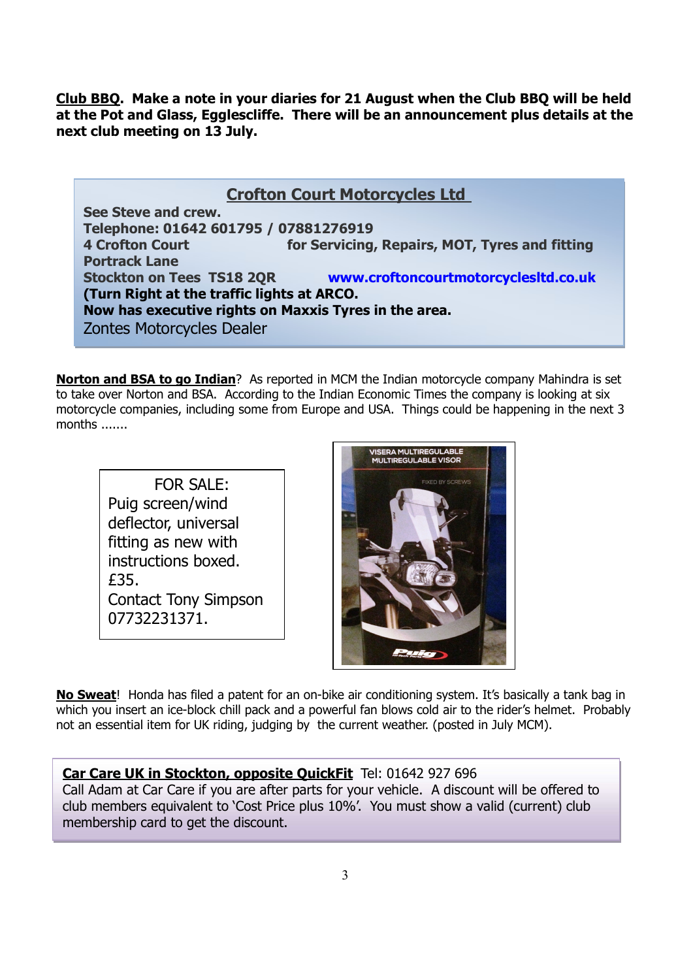Club BBQ. Make a note in your diaries for 21 August when the Club BBQ will be held at the Pot and Glass, Egglescliffe. There will be an announcement plus details at the next club meeting on 13 July.

Crofton Court Motorcycles Ltd See Steve and crew. Telephone: 01642 601795 / 07881276919 4 Crofton Court for Servicing, Repairs, MOT, Tyres and fitting Portrack Lane Stockton on Tees TS18 2QR www.croftoncourtmotorcyclesltd.co.uk (Turn Right at the traffic lights at ARCO. Now has executive rights on Maxxis Tyres in the area. Zontes Motorcycles Dealer

Norton and BSA to go Indian? As reported in MCM the Indian motorcycle company Mahindra is set to take over Norton and BSA. According to the Indian Economic Times the company is looking at six motorcycle companies, including some from Europe and USA. Things could be happening in the next 3 months .......

FOR SALE: Puig screen/wind deflector, universal fitting as new with instructions boxed. £35. Contact Tony Simpson 07732231371.



No Sweat! Honda has filed a patent for an on-bike air conditioning system. It's basically a tank bag in which you insert an ice-block chill pack and a powerful fan blows cold air to the rider's helmet. Probably not an essential item for UK riding, judging by the current weather. (posted in July MCM).

# Car Care UK in Stockton, opposite QuickFit Tel: 01642 927 696

Call Adam at Car Care if you are after parts for your vehicle. A discount will be offered to club members equivalent to 'Cost Price plus 10%'. You must show a valid (current) club membership card to get the discount.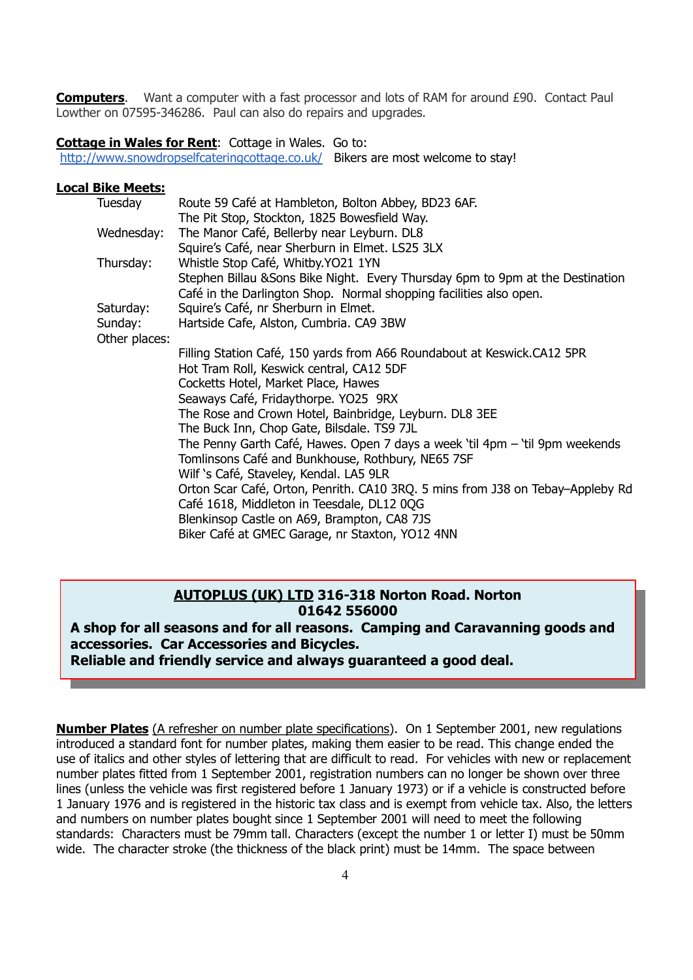**Computers.** Want a computer with a fast processor and lots of RAM for around £90. Contact Paul Lowther on 07595-346286. Paul can also do repairs and upgrades.

#### Cottage in Wales for Rent: Cottage in Wales. Go to:

http://www.snowdropselfcateringcottage.co.uk/ Bikers are most welcome to stay!

#### Local Bike Meets:

| Tuesday       | Route 59 Café at Hambleton, Bolton Abbey, BD23 6AF.                            |
|---------------|--------------------------------------------------------------------------------|
|               | The Pit Stop, Stockton, 1825 Bowesfield Way.                                   |
| Wednesday:    | The Manor Café, Bellerby near Leyburn. DL8                                     |
|               | Squire's Café, near Sherburn in Elmet. LS25 3LX                                |
| Thursday:     | Whistle Stop Café, Whitby YO21 1YN                                             |
|               | Stephen Billau & Sons Bike Night. Every Thursday 6pm to 9pm at the Destination |
|               | Café in the Darlington Shop. Normal shopping facilities also open.             |
| Saturday:     | Squire's Café, nr Sherburn in Elmet.                                           |
| Sunday:       | Hartside Cafe, Alston, Cumbria. CA9 3BW                                        |
| Other places: |                                                                                |
|               | Filling Station Café, 150 yards from A66 Roundabout at Keswick.CA12 5PR        |
|               | Hot Tram Roll, Keswick central, CA12 5DF                                       |
|               | Cocketts Hotel, Market Place, Hawes                                            |
|               | Seaways Café, Fridaythorpe. YO25 9RX                                           |
|               | The Rose and Crown Hotel, Bainbridge, Leyburn. DL8 3EE                         |
|               | The Buck Inn, Chop Gate, Bilsdale. TS9 7JL                                     |
|               | The Penny Garth Café, Hawes. Open 7 days a week 'til 4pm - 'til 9pm weekends   |
|               | Tomlinsons Café and Bunkhouse, Rothbury, NE65 7SF                              |
|               | Wilf 's Café, Staveley, Kendal. LA5 9LR                                        |
|               | Orton Scar Café, Orton, Penrith. CA10 3RQ. 5 mins from J38 on Tebay-Appleby Rd |
|               | Café 1618, Middleton in Teesdale, DL12 0QG                                     |
|               | Blenkinsop Castle on A69, Brampton, CA8 7JS                                    |
|               | Biker Café at GMEC Garage, nr Staxton, YO12 4NN                                |
|               |                                                                                |

### AUTOPLUS (UK) LTD 316-318 Norton Road. Norton 01642 556000

A shop for all seasons and for all reasons. Camping and Caravanning goods and accessories. Car Accessories and Bicycles. Reliable and friendly service and always guaranteed a good deal.

Number Plates (A refresher on number plate specifications). On 1 September 2001, new regulations introduced a standard font for number plates, making them easier to be read. This change ended the use of italics and other styles of lettering that are difficult to read. For vehicles with new or replacement number plates fitted from 1 September 2001, registration numbers can no longer be shown over three lines (unless the vehicle was first registered before 1 January 1973) or if a vehicle is constructed before 1 January 1976 and is registered in the historic tax class and is exempt from vehicle tax. Also, the letters and numbers on number plates bought since 1 September 2001 will need to meet the following standards: Characters must be 79mm tall. Characters (except the number 1 or letter I) must be 50mm wide. The character stroke (the thickness of the black print) must be 14mm. The space between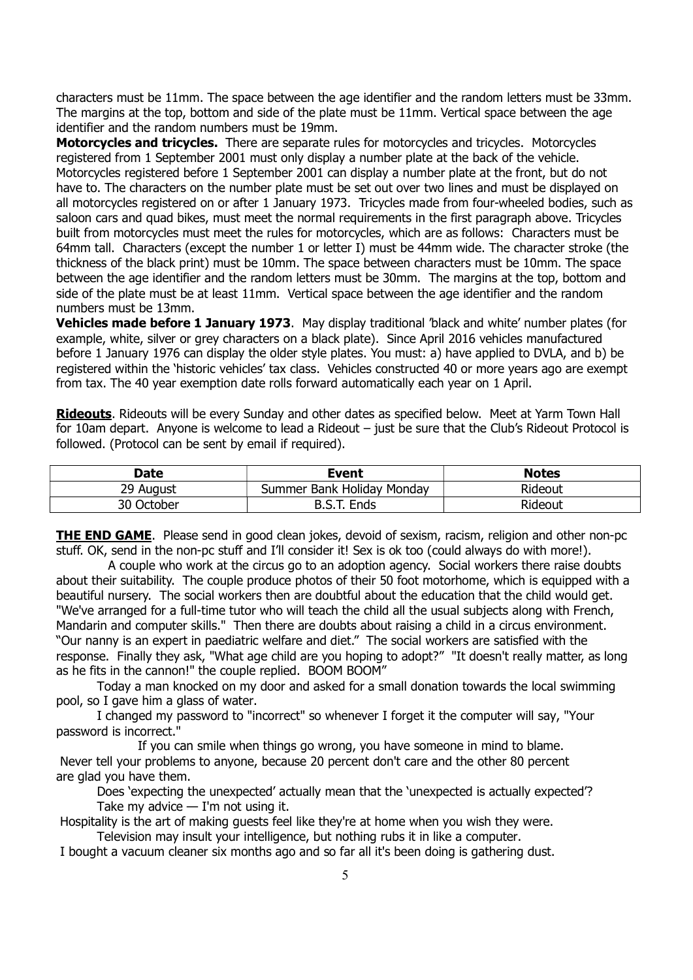characters must be 11mm. The space between the age identifier and the random letters must be 33mm. The margins at the top, bottom and side of the plate must be 11mm. Vertical space between the age identifier and the random numbers must be 19mm.

**Motorcycles and tricycles.** There are separate rules for motorcycles and tricycles. Motorcycles registered from 1 September 2001 must only display a number plate at the back of the vehicle. Motorcycles registered before 1 September 2001 can display a number plate at the front, but do not have to. The characters on the number plate must be set out over two lines and must be displayed on all motorcycles registered on or after 1 January 1973. Tricycles made from four-wheeled bodies, such as saloon cars and quad bikes, must meet the normal requirements in the first paragraph above. Tricycles built from motorcycles must meet the rules for motorcycles, which are as follows: Characters must be 64mm tall. Characters (except the number 1 or letter I) must be 44mm wide. The character stroke (the thickness of the black print) must be 10mm. The space between characters must be 10mm. The space between the age identifier and the random letters must be 30mm. The margins at the top, bottom and side of the plate must be at least 11mm. Vertical space between the age identifier and the random numbers must be 13mm.

Vehicles made before 1 January 1973. May display traditional 'black and white' number plates (for example, white, silver or grey characters on a black plate). Since April 2016 vehicles manufactured before 1 January 1976 can display the older style plates. You must: a) have applied to DVLA, and b) be registered within the 'historic vehicles' tax class. Vehicles constructed 40 or more years ago are exempt from tax. The 40 year exemption date rolls forward automatically each year on 1 April.

Rideouts. Rideouts will be every Sunday and other dates as specified below. Meet at Yarm Town Hall for 10am depart. Anyone is welcome to lead a Rideout – just be sure that the Club's Rideout Protocol is followed. (Protocol can be sent by email if required).

| Date       | Event                      | <b>Notes</b> |
|------------|----------------------------|--------------|
| 29 August  | Summer Bank Holiday Monday | Rideout      |
| 30 October | <b>B.S.T. Ends</b>         | Rideout      |

**THE END GAME.** Please send in good clean jokes, devoid of sexism, racism, religion and other non-pc stuff. OK, send in the non-pc stuff and I'll consider it! Sex is ok too (could always do with more!).

 A couple who work at the circus go to an adoption agency. Social workers there raise doubts about their suitability. The couple produce photos of their 50 foot motorhome, which is equipped with a beautiful nursery. The social workers then are doubtful about the education that the child would get. "We've arranged for a full-time tutor who will teach the child all the usual subjects along with French, Mandarin and computer skills." Then there are doubts about raising a child in a circus environment. "Our nanny is an expert in paediatric welfare and diet." The social workers are satisfied with the response. Finally they ask, "What age child are you hoping to adopt?" "It doesn't really matter, as long as he fits in the cannon!" the couple replied. BOOM BOOM"

 Today a man knocked on my door and asked for a small donation towards the local swimming pool, so I gave him a glass of water.

I changed my password to "incorrect" so whenever I forget it the computer will say, "Your password is incorrect."

 If you can smile when things go wrong, you have someone in mind to blame. Never tell your problems to anyone, because 20 percent don't care and the other 80 percent are glad you have them.

Does 'expecting the unexpected' actually mean that the 'unexpected is actually expected'? Take my advice  $-$  I'm not using it.

 Hospitality is the art of making guests feel like they're at home when you wish they were. Television may insult your intelligence, but nothing rubs it in like a computer.

I bought a vacuum cleaner six months ago and so far all it's been doing is gathering dust.